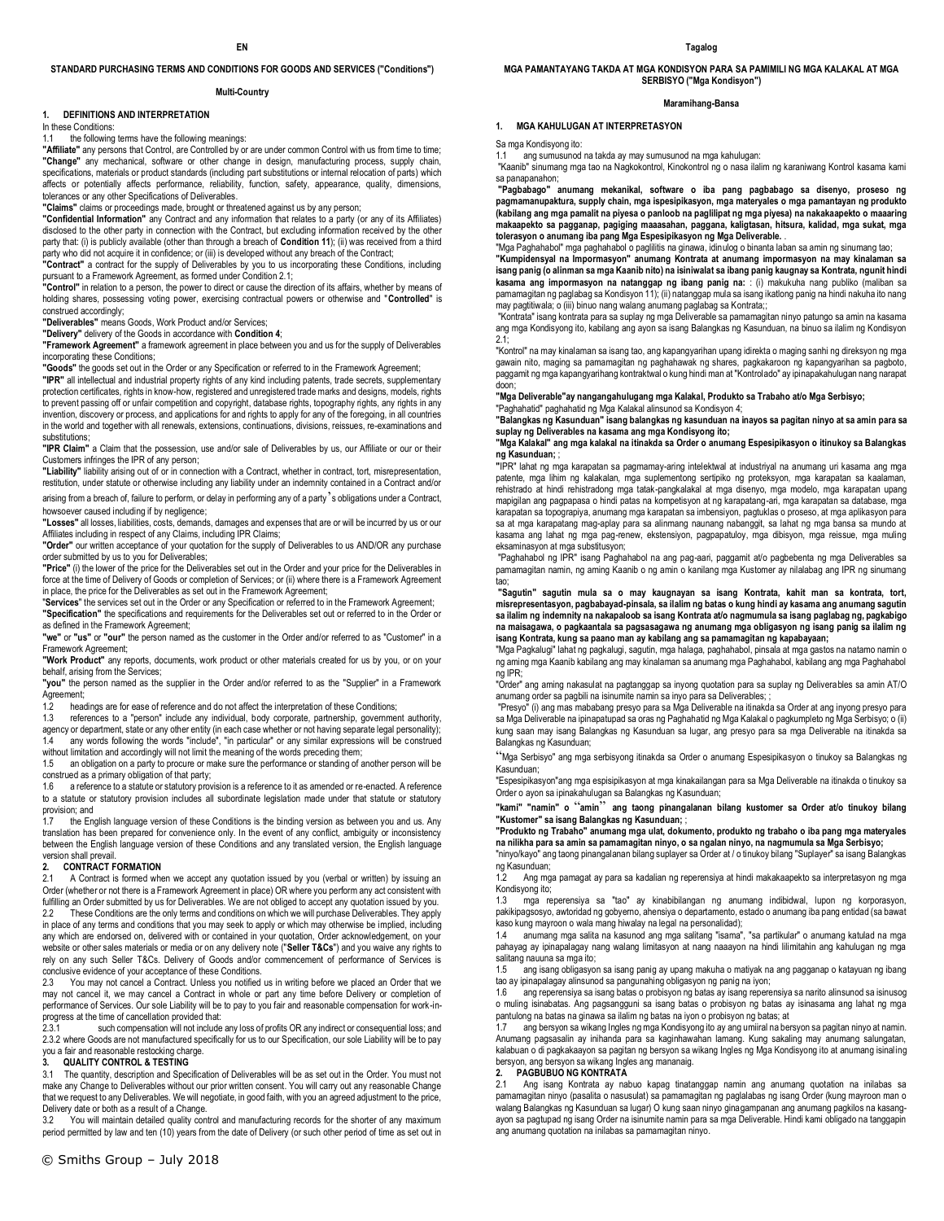### **STANDARD PURCHASING TERMS AND CONDITIONS FOR GOODS AND SERVICES ("Conditions")**

### **Multi-Country**

### **1. DEFINITIONS AND INTERPRETATION**

In these Conditions:

### 1.1 the following terms have the following meanings:

**"Affiliate"** any persons that Control, are Controlled by or are under common Control with us from time to time; **"Change"** any mechanical, software or other change in design, manufacturing process, supply chain, specifications, materials or product standards (including part substitutions or internal relocation of parts) which affects or potentially affects performance, reliability, function, safety, appearance, quality, dimensions, tolerances or any other Specifications of Deliverables.

**"Claims"** claims or proceedings made, brought or threatened against us by any person;

**"Confidential Information"** any Contract and any information that relates to a party (or any of its Affiliates) disclosed to the other party in connection with the Contract, but excluding information received by the other party that: (i) is publicly available (other than through a breach of **Condition 11**); (ii) was received from a third party who did not acquire it in confidence; or (iii) is developed without any breach of the Contract;

**"Contract"** a contract for the supply of Deliverables by you to us incorporating these Conditions, including pursuant to a Framework Agreement, as formed under Condition 2.1;

**"Control"** in relation to a person, the power to direct or cause the direction of its affairs, whether by means of holding shares, possessing voting power, exercising contractual powers or otherwise and "**Controlled**" is construed accordingly;

**"Deliverables"** means Goods, Work Product and/or Services;

**"Delivery"** delivery of the Goods in accordance with **Condition 4**;

**"Framework Agreement"** a framework agreement in place between you and us for the supply of Deliverables incorporating these Conditions;

**"Goods"** the goods set out in the Order or any Specification or referred to in the Framework Agreement;

**"IPR"** all intellectual and industrial property rights of any kind including patents, trade secrets, supplementary protection certificates, rights in know-how, registered and unregistered trade marks and designs, models, rights .<br>to prevent passing off or unfair competition and copyright, database rights, topography rights, any rights in any invention, discovery or process, and applications for and rights to apply for any of the foregoing, in all countries in the world and together with all renewals, extensions, continuations, divisions, reissues, re-examinations and substitutions:

**"IPR Claim"** a Claim that the possession, use and/or sale of Deliverables by us, our Affiliate or our or their Customers infringes the IPR of any person;

**"Liability"** liability arising out of or in connection with a Contract, whether in contract, tort, misrepresentation, restitution, under statute or otherwise including any liability under an indemnity contained in a Contract and/or

arising from a breach of, failure to perform, or delay in performing any of a party's obligations under a Contract, howsoever caused including if by negligence;

**"Losses"** all losses, liabilities, costs, demands, damages and expenses that are or will be incurred by us or our Affiliates including in respect of any Claims, including IPR Claims;

**"Order"** our written acceptance of your quotation for the supply of Deliverables to us AND/OR any purchase order submitted by us to you for Deliverables;

**"Price"** (i) the lower of the price for the Deliverables set out in the Order and your price for the Deliverables in force at the time of Delivery of Goods or completion of Services; or (ii) where there is a Framework Agreement in place, the price for the Deliverables as set out in the Framework Agreement;

"**Services**" the services set out in the Order or any Specification or referred to in the Framework Agreement; **"Specification"** the specifications and requirements for the Deliverables set out or referred to in the Order or as defined in the Framework Agreement;

**"we"** or **"us"** or **"our"** the person named as the customer in the Order and/or referred to as "Customer" in a Framework Agreement;

**"Work Product"** any reports, documents, work product or other materials created for us by you, or on your behalf, arising from the Services;

**"you"** the person named as the supplier in the Order and/or referred to as the "Supplier" in a Framework Agreement;

1.2 headings are for ease of reference and do not affect the interpretation of these Conditions;

1.3 references to a "person" include any individual, body corporate, partnership, government authority, agency or department, state or any other entity (in each case whether or not having separate legal personality);

1.4 any words following the words "include", "in particular" or any similar expressions will be construed without limitation and accordingly will not limit the meaning of the words preceding them;

1.5 an obligation on a party to procure or make sure the performance or standing of another person will be

construed as a primary obligation of that party;<br>1.6 areference to a statute or statutory provision is a reference to it as amended or re-enacted. A reference to a statute or statutory provision includes all subordinate legislation made under that statute or statutory provision; and

the English language version of these Conditions is the binding version as between you and us. Any translation has been prepared for convenience only. In the event of any conflict, ambiguity or inconsistency between the English language version of these Conditions and any translated version, the English language version shall prevail.

# **2. CONTRACT FORMATION**<br>2.1 A Contract is formed why

A Contract is formed when we accept any quotation issued by you (verbal or written) by issuing an Order (whether or not there is a Framework Agreement in place) OR where you perform any act consistent with fulfilling an Order submitted by us for Deliverables. We are not obliged to accept any quotation issued by you. 2.2 These Conditions are the only terms and conditions on which we will purchase Deliverables. They apply in place of any terms and conditions that you may seek to apply or which may otherwise be implied, including any which are endorsed on, delivered with or contained in your quotation, Order acknowledgement, on your website or other sales materials or media or on any delivery note ("**Seller T&Cs**") and you waive any rights to rely on any such Seller T&Cs. Delivery of Goods and/or commencement of performance of Services is conclusive evidence of your acceptance of these Conditions.

2.3 You may not cancel a Contract. Unless you notified us in writing before we placed an Order that we may not cancel it, we may cancel a Contract in whole or part any time before Delivery or completion of performance of Services. Our sole Liability will be to pay to you fair and reasonable compensation for work-inprogress at the time of cancellation provided that:<br>2.3.1 such compensation will not include

such compensation will not include any loss of profits OR any indirect or consequential loss; and 2.3.2 where Goods are not manufactured specifically for us to our Specification, our sole Liability will be to pay you a fair and reasonable restocking charge.

### **3. QUALITY CONTROL & TESTING**

3.1 The quantity, description and Specification of Deliverables will be as set out in the Order. You must not make any Change to Deliverables without our prior written consent. You will carry out any reasonable Change that we request to any Deliverables. We will negotiate, in good faith, with you an agreed adjustment to the price, Delivery date or both as a result of a Change.

3.2 You will maintain detailed quality control and manufacturing records for the shorter of any maximum period permitted by law and ten (10) years from the date of Delivery (or such other period of time as set out in **MGA PAMANTAYANG TAKDA AT MGA KONDISYON PARA SA PAMIMILI NG MGA KALAKAL AT MGA SERBISYO ("Mga Kondisyon")** 

### **Maramihang-Bansa**

### **1. MGA KAHULUGAN AT INTERPRETASYON**

Sa mga Kondisyong ito:

1.1 ang sumusunod na takda ay may sumusunod na mga kahulugan:

"Kaanib" sinumang mga tao na Nagkokontrol, Kinokontrol ng o nasa ilalim ng karaniwang Kontrol kasama kami sa panapanahon;

**"Pagbabago" anumang mekanikal, software o iba pang pagbabago sa disenyo, proseso ng pagmamanupaktura, supply chain, mga ispesipikasyon, mga materyales o mga pamantayan ng produkto (kabilang ang mga pamalit na piyesa o panloob na paglilipat ng mga piyesa) na nakakaapekto o maaaring makaapekto sa pagganap, pagiging maaasahan, paggana, kaligtasan, hitsura, kalidad, mga sukat, mga tolerasyon o anumang iba pang Mga Espesipikasyon ng Mga Deliverable.** .

"Mga Paghahabol" mga paghahabol o paglilitis na ginawa, idinulog o binanta laban sa amin ng sinumang tao; **"Kumpidensyal na Impormasyon" anumang Kontrata at anumang impormasyon na may kinalaman sa isang panig (o alinman sa mga Kaanib nito) na isiniwalat sa ibang panig kaugnay sa Kontrata, ngunit hindi kasama ang impormasyon na natanggap ng ibang panig na:** : (i) makukuha nang publiko (maliban sa pamamagitan ng paglabag sa Kondisyon 11); (ii) natanggap mula sa isang ikatlong panig na hindi nakuha ito nang may pagtitiwala; o (iii) binuo nang walang anumang paglabag sa Kontrata;;

"Kontrata" isang kontrata para sa suplay ng mga Deliverable sa pamamagitan ninyo patungo sa amin na kasama ang mga Kondisyong ito, kabilang ang ayon sa isang Balangkas ng Kasunduan, na binuo sa ilalim ng Kondisyon 2.1;

"Kontrol" na may kinalaman sa isang tao, ang kapangyarihan upang idirekta o maging sanhi ng direksyon ng mga gawain nito, maging sa pamamagitan ng paghahawak ng shares, pagkakaroon ng kapangyarihan sa pagboto, paggamit ng mga kapangyarihang kontraktwal o kung hindi man at "Kontrolado" ay ipinapakahulugan nang narapat doon;

**"Mga Deliverable"ay nangangahulugang mga Kalakal, Produkto sa Trabaho at/o Mga Serbisyo;<br>"Paghahatid" paghahatid ng Mga Kalakal alinsunod sa Kondisyon 4;** 

**"Balangkas ng Kasunduan" isang balangkas ng kasunduan na inayos sa pagitan ninyo at sa amin para sa suplay ng Deliverables na kasama ang mga Kondisyong ito;**

**"Mga Kalakal" ang mga kalakal na itinakda sa Order o anumang Espesipikasyon o itinukoy sa Balangkas ng Kasunduan;** ;

**"**IPR" lahat ng mga karapatan sa pagmamay-aring intelektwal at industriyal na anumang uri kasama ang mga patente, mga lihim ng kalakalan, mga suplementong sertipiko ng proteksyon, mga karapatan sa kaalaman, rehistrado at hindi rehistradong mga tatak-pangkalakal at mga disenyo, mga modelo, mga karapatan upang mapigilan ang pagpapasa o hindi patas na kompetisyon at ng karapatang-ari, mga karapatan sa database, mga karapatan sa topograpiya, anumang mga karapatan sa imbensiyon, pagtuklas o proseso, at mga aplikasyon para sa at mga karapatang mag-aplay para sa alinmang naunang nabanggit, sa lahat ng mga bansa sa mundo at kasama ang lahat ng mga pag-renew, ekstensiyon, pagpapatuloy, mga dibisyon, mga reissue, mga muling eksaminasyon at mga substitusyon;

"Paghahabol ng IPR" isang Paghahabol na ang pag-aari, paggamit at/o pagbebenta ng mga Deliverables sa pamamagitan namin, ng aming Kaanib o ng amin o kanilang mga Kustomer ay nilalabag ang IPR ng sinumang tao;

**"Sagutin" sagutin mula sa o may kaugnayan sa isang Kontrata, kahit man sa kontrata, tort, misrepresentasyon, pagbabayad-pinsala, sa ilalim ng batas o kung hindi ay kasama ang anumang sagutin sa ilalim ng indemnity na nakapaloob sa isang Kontrata at/o nagmumula sa isang paglabag ng, pagkabigo na maisagawa, o pagkaantala sa pagsasagawa ng anumang mga obligasyon ng isang panig sa ilalim ng isang Kontrata, kung sa paano man ay kabilang ang sa pamamagitan ng kapabayaan;** 

"Mga Pagkalugi" lahat ng pagkalugi, sagutin, mga halaga, paghahabol, pinsala at mga gastos na natamo namin o ng aming mga Kaanib kabilang ang may kinalaman sa anumang mga Paghahabol, kabilang ang mga Paghahabol ng IPR;

"Order" ang aming nakasulat na pagtanggap sa inyong quotation para sa suplay ng Deliverables sa amin AT/O anumang order sa pagbili na isinumite namin sa inyo para sa Deliverables; ;

"Presyo" (i) ang mas mababang presyo para sa Mga Deliverable na itinakda sa Order at ang inyong presyo para sa Mga Deliverable na ipinapatupad sa oras ng Paghahatid ng Mga Kalakal o pagkumpleto ng Mga Serbisyo; o (ii) kung saan may isang Balangkas ng Kasunduan sa lugar, ang presyo para sa mga Deliverable na itinakda sa Balangkas ng Kasunduan;

"Mga Serbisyo" ang mga serbisyong itinakda sa Order o anumang Espesipikasyon o tinukoy sa Balangkas ng Kasunduan;

"Espesipikasyon"ang mga espisipikasyon at mga kinakailangan para sa Mga Deliverable na itinakda o tinukoy sa Order o ayon sa ipinakahulugan sa Balangkas ng Kasunduan; **"kami" "namin" o** "**amin**" **ang taong pinangalanan bilang kustomer sa Order at/o tinukoy bilang** 

**"Kustomer" sa isang Balangkas ng Kasunduan;** ;

**"Produkto ng Trabaho" anumang mga ulat, dokumento, produkto ng trabaho o iba pang mga materyales na nilikha para sa amin sa pamamagitan ninyo, o sa ngalan ninyo, na nagmumula sa Mga Serbisyo;**

"ninyo/kayo" ang taong pinangalanan bilang suplayer sa Order at / o tinukoy bilang "Suplayer" sa isang Balangkas ng Kasunduan;

1.2 Ang mga pamagat ay para sa kadalian ng reperensiya at hindi makakaapekto sa interpretasyon ng mga Kondisyong ito;

1.3 mga reperensiya sa "tao" ay kinabibilangan ng anumang indibidwal, lupon ng korporasyon, pakikipagsosyo, awtoridad ng gobyerno, ahensiya o departamento, estado o anumang iba pang entidad (sa bawat kaso kung mayroon o wala mang hiwalay na legal na personalidad);

1.4 anumang mga salita na kasunod ang mga salitang "isama", "sa partikular" o anumang katulad na mga pahayag ay ipinapalagay nang walang limitasyon at nang naaayon na hindi lilimitahin ang kahulugan ng mga salitang nauuna sa mga ito;

1.5 ang isang obligasyon sa isang panig ay upang makuha o matiyak na ang pagganap o katayuan ng ibang tao ay ipinapalagay alinsunod sa pangunahing obligasyon ng panig na iyon;

1.6 ang reperensiya sa isang batas o probisyon ng batas ay isang reperensiya sa narito alinsunod sa isinusog o muling isinabatas. Ang pagsangguni sa isang batas o probisyon ng batas ay isinasama ang lahat ng mga pantulong na batas na ginawa sa ilalim ng batas na iyon o probisyon ng batas; at

1.7 ang bersyon sa wikang Ingles ng mga Kondisyong ito ay ang umiiral na bersyon sa pagitan ninyo at namin. Anumang pagsasalin ay inihanda para sa kaginhawahan lamang. Kung sakaling may anumang salungatan, kalabuan o di pagkakaayon sa pagitan ng bersyon sa wikang Ingles ng Mga Kondisyong ito at anumang isinaling bersyon, ang bersyon sa wikang Ingles ang mananaig.

### **2. PAGBUBUO NG KONTRATA**

2.1 Ang isang Kontrata ay nabuo kapag tinatanggap namin ang anumang quotation na inilabas sa pamamagitan ninyo (pasalita o nasusulat) sa pamamagitan ng paglalabas ng isang Order (kung mayroon man o walang Balangkas ng Kasunduan sa lugar) O kung saan ninyo ginagampanan ang anumang pagkilos na kasangayon sa pagtupad ng isang Order na isinumite namin para sa mga Deliverable. Hindi kami obligado na tanggapin ang anumang quotation na inilabas sa pamamagitan ninyo.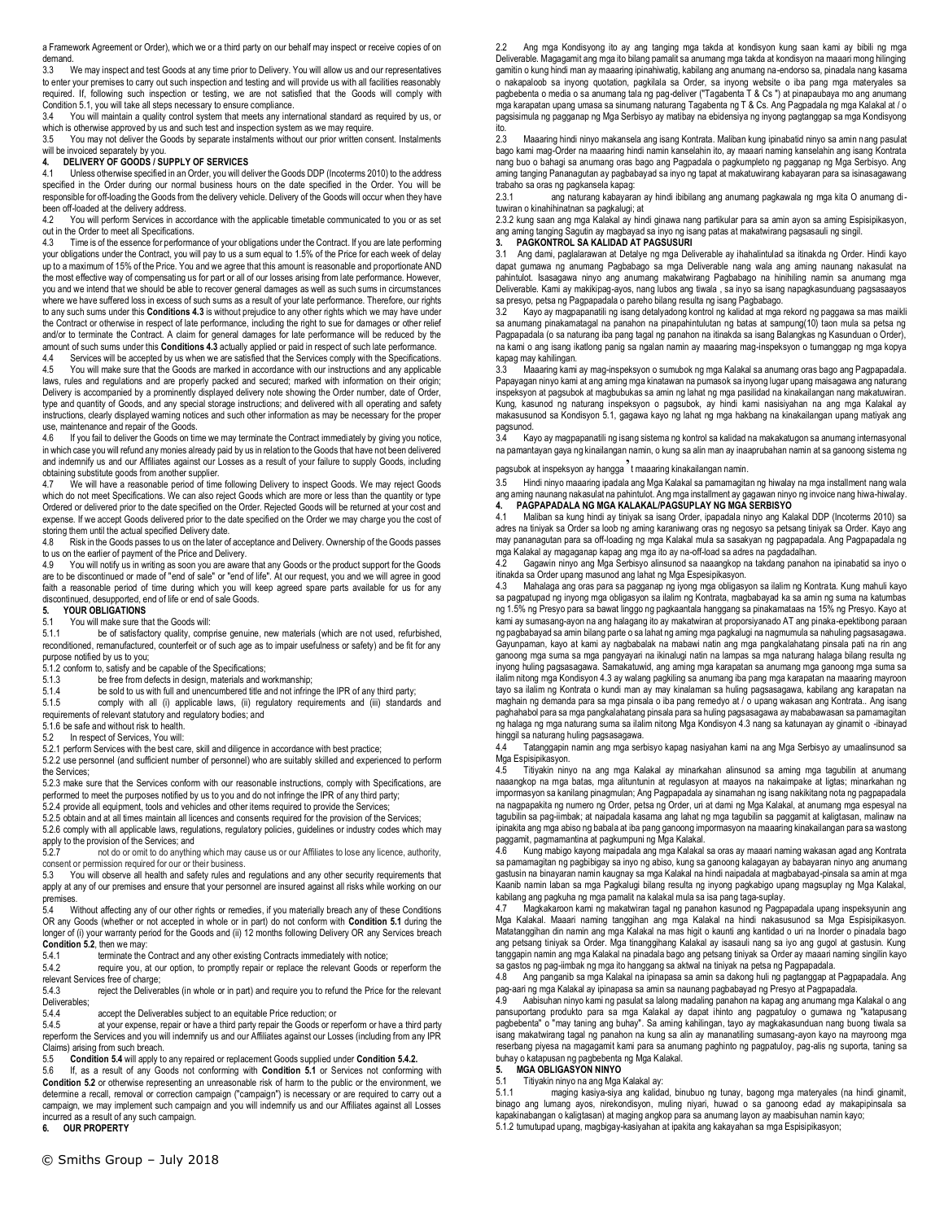a Framework Agreement or Order), which we or a third party on our behalf may inspect or receive copies of on demand.

3.3 We may inspect and test Goods at any time prior to Delivery. You will allow us and our representatives to enter your premises to carry out such inspection and testing and will provide us with all facilities reasonably required. If, following such inspection or testing, we are not satisfied that the Goods will comply with Condition 5.1, you will take all steps necessary to ensure compliance.

3.4 You will maintain a quality control system that meets any international standard as required by us, or which is otherwise approved by us and such test and inspection system as we may require.

3.5 You may not deliver the Goods by separate instalments without our prior written consent. Instalments will be invoiced separately by you.

### **4. DELIVERY OF GOODS / SUPPLY OF SERVICES**

4.1 Unless otherwise specified in an Order, you will deliver the Goods DDP (Incoterms 2010) to the address specified in the Order during our normal business hours on the date specified in the Order. You will be responsible for off-loading the Goods from the delivery vehicle. Delivery of the Goods will occur when they have been off-loaded at the delivery address.

4.2 You will perform Services in accordance with the applicable timetable communicated to you or as set out in the Order to meet all Specifications.

4.3 Time is of the essence for performance of your obligations under the Contract. If you are late performing your obligations under the Contract, you will pay to us a sum equal to 1.5% of the Price for each week of delay up to a maximum of 15% of the Price. You and we agree that this amount is reasonable and proportionate AND the most effective way of compensating us for part or all of our losses arising from late performance. However, you and we intend that we should be able to recover general damages as well as such sums in circumstances where we have suffered loss in excess of such sums as a result of your late performance. Therefore, our rights to any such sums under this **Conditions 4.3** is without prejudice to any other rights which we may have under the Contract or otherwise in respect of late performance, including the right to sue for damages or other relief and/or to terminate the Contract. A claim for general damages for late performance will be reduced by the amount of such sums under this **Conditions 4.3** actually applied or paid in respect of such late performance.

4.4 Services will be accepted by us when we are satisfied that the Services comply with the Specifications.<br>4.5 You will make sure that the Goods are marked in accordance with our instructions and any applicable You will make sure that the Goods are marked in accordance with our instructions and any applicable laws, rules and regulations and are properly packed and secured; marked with information on their origin; Delivery is accompanied by a prominently displayed delivery note showing the Order number, date of Order, type and quantity of Goods, and any special storage instructions; and delivered with all operating and safety instructions, clearly displayed warning notices and such other information as may be necessary for the proper use, maintenance and repair of the Goods.<br>4.6 If you fail to deliver the Goods on tir

If you fail to deliver the Goods on time we may terminate the Contract immediately by giving you notice, in which case you will refund any monies already paid by us in relation to the Goods that have not been delivered and indemnify us and our Affiliates against our Losses as a result of your failure to supply Goods, including obtaining substitute goods from another supplier.

We will have a reasonable period of time following Delivery to inspect Goods. We may reject Goods which do not meet Specifications. We can also reject Goods which are more or less than the quantity or type Ordered or delivered prior to the date specified on the Order. Rejected Goods will be returned at your cost and expense. If we accept Goods delivered prior to the date specified on the Order we may charge you the cost of storing them until the actual specified Delivery date.<br>4.8 Bisk in the Goods passes to us on the later of

4.8 Risk in the Goods passes to us on the later of acceptance and Delivery. Ownership of the Goods passes to us on the earlier of payment of the Price and Delivery.<br>4.9 You will notify us in writing as soon you are aware

You will notify us in writing as soon you are aware that any Goods or the product support for the Goods are to be discontinued or made of "end of sale" or "end of life". At our request, you and we will agree in good faith a reasonable period of time during which you will keep agreed spare parts available for us for any discontinued, desupported, end of life or end of sale Goods.

## **5. YOUR OBLIGATIONS**

## 5.1 You will make sure that the Goods will:

5.1.1 be of satisfactory quality, comprise genuine, new materials (which are not used, refurbished, reconditioned, remanufactured, counterfeit or of such age as to impair usefulness or safety) and be fit for any purpose notified by us to you;

 $5.1.2$  conform to, satisfy and be capable of the Specifications;<br>5.1.3 be free from defects in design. materials and w

- be free from defects in design, materials and workmanship;
- 5.1.4 be sold to us with full and unencumbered title and not infringe the IPR of any third party;<br>5.1.5 comply with all (i) applicable laws. (ii) requiatory requirements and (iii) standard

comply with all (i) applicable laws, (ii) regulatory requirements and (iii) standards and

requirements of relevant statutory and regulatory bodies; and

5.1.6 be safe and without risk to health. 5.2 In respect of Services, You will:

5.2.1 perform Services with the best care, skill and diligence in accordance with best practice; 5.2.2 use personnel (and sufficient number of personnel) who are suitably skilled and experienced to perform

the Services; 5.2.3 make sure that the Services conform with our reasonable instructions, comply with Specifications, are

performed to meet the purposes notified by us to you and do not infringe the IPR of any third party; 5.2.4 provide all equipment, tools and vehicles and other items required to provide the Services;

5.2.5 obtain and at all times maintain all licences and consents required for the provision of the Services;

5.2.6 comply with all applicable laws, regulations, regulatory policies, guidelines or industry codes which may

apply to the provision of the Services; and<br>5.2.7 pot do or omit to do anything not do or omit to do anything which may cause us or our Affiliates to lose any licence, authority,

consent or permission required for our or their business.<br>5.3 You will observe all health and safety rules and You will observe all health and safety rules and regulations and any other security requirements that apply at any of our premises and ensure that your personnel are insured against all risks while working on our premises.

5.4 Without affecting any of our other rights or remedies, if you materially breach any of these Conditions OR any Goods (whether or not accepted in whole or in part) do not conform with **Condition 5.1** during the longer of (i) your warranty period for the Goods and (ii) 12 months following Delivery OR any Services breach **Condition 5.2**, then we may:<br>5.4.1 terminate the

5.4.1 terminate the Contract and any other existing Contracts immediately with notice;<br>5.4.2 require you, at our option, to promptly repair or replace the relevant Goods or

require you, at our option, to promptly repair or replace the relevant Goods or reperform the relevant Services free of charge;

5.4.3 reject the Deliverables (in whole or in part) and require you to refund the Price for the relevant Deliverables;<br>5.4.4

5.4.4 accept the Deliverables subject to an equitable Price reduction; or 5.4.5 at your expense, repair or have a third party repair the Goods or re

at your expense, repair or have a third party repair the Goods or reperform or have a third party reperform the Services and you will indemnify us and our Affiliates against our Losses (including from any IPR Claims) arising from such breach.<br>5.5 Condition 5.4 will apply to

5.5 **Condition 5.4** will apply to any repaired or replacement Goods supplied under **Condition 5.4.2.**

5.6 If, as a result of any Goods not conforming with **Condition 5.1** or Services not conforming with **Condition 5.2** or otherwise representing an unreasonable risk of harm to the public or the environment, we determine a recall, removal or correction campaign ("campaign") is necessary or are required to carry out a campaign, we may implement such campaign and you will indemnify us and our Affiliates against all Losses incurred as a result of any such campaign. **6. OUR PROPERTY**

2.2 Ang mga Kondisyong ito ay ang tanging mga takda at kondisyon kung saan kami ay bibili ng mga Deliverable. Magagamit ang mga ito bilang pamalit sa anumang mga takda at kondisyon na maaari mong hilinging gamitin o kung hindi man ay maaaring ipinahiwatig, kabilang ang anumang na-endorso sa, pinadala nang kasama o nakapaloob sa inyong quotation, pagkilala sa Order, sa inyong website o iba pang mga materyales sa pagbebenta o media o sa anumang tala ng pag-deliver ("Tagabenta T & Cs ") at pinapaubaya mo ang anumang mga karapatan upang umasa sa sinumang naturang Tagabenta ng T & Cs. Ang Pagpadala ng mga Kalakal at / o pagsisimula ng pagganap ng Mga Serbisyo ay matibay na ebidensiya ng inyong pagtanggap sa mga Kondisyong ito.

2.3 Maaaring hindi ninyo makansela ang isang Kontrata. Maliban kung ipinabatid ninyo sa amin nang pasulat bago kami mag-Order na maaaring hindi namin kanselahin ito, ay maaari naming kanselahin ang isang Kontrata nang buo o bahagi sa anumang oras bago ang Pagpadala o pagkumpleto ng pagganap ng Mga Serbisyo. Ang aming tanging Pananagutan ay pagbabayad sa inyo ng tapat at makatuwirang kabayaran para sa isinasagawang trabaho sa oras ng pagkansela kapag:

2.3.1 ang naturang kabayaran ay hindi ibibilang ang anumang pagkawala ng mga kita O anumang dituwiran o kinahihinatnan sa pagkalugi; at

2.3.2 kung saan ang mga Kalakal ay hindi ginawa nang partikular para sa amin ayon sa aming Espisipikasyon, ang aming tanging Sagutin ay magbayad sa inyo ng isang patas at makatwirang pagsasauli ng singil.

## **3. PAGKONTROL SA KALIDAD AT PAGSUSURI**

3.1 Ang dami, paglalarawan at Detalye ng mga Deliverable ay ihahalintulad sa itinakda ng Order. Hindi kayo dapat gumawa ng anumang Pagbabago sa mga Deliverable nang wala ang aming naunang nakasulat na pahintulot. Isasagawa ninyo ang anumang makatwirang Pagbabago na hinihiling namin sa anumang mga Deliverable. Kami ay makikipag-ayos, nang lubos ang tiwala , sa inyo sa isang napagkasunduang pagsasaayos sa presyo, petsa ng Pagpapadala o pareho bilang resulta ng isang Pagbabago.

3.2 Kayo ay magpapanatili ng isang detalyadong kontrol ng kalidad at mga rekord ng paggawa sa mas maikli sa anumang pinakamatagal na panahon na pinapahintulutan ng batas at sampung(10) taon mula sa petsa ng Pagpapadala (o sa naturang iba pang tagal ng panahon na itinakda sa isang Balangkas ng Kasunduan o Order), na kami o ang isang ikatlong panig sa ngalan namin ay maaaring mag-inspeksyon o tumanggap ng mga kopya kapag may kahilingan.<br>3.3 Maaaring kami

3.3 Maaaring kami ay mag-inspeksyon o sumubok ng mga Kalakal sa anumang oras bago ang Pagpapadala. Papayagan ninyo kami at ang aming mga kinatawan na pumasok sa inyong lugar upang maisagawa ang naturang<br>inspeksyon at pagsubok at magbubukas sa amin ng lahat ng mga pasilidad na kinakailangan nang makatuwiran. Kung, kasunod ng naturang inspeksyon o pagsubok, ay hindi kami nasisiyahan na ang mga Kalakal ay makasusunod sa Kondisyon 5.1, gagawa kayo ng lahat ng mga hakbang na kinakailangan upang matiyak ang pagsunod.<br>34 Ka

3.4 Kayo ay magpapanatili ng isang sistema ng kontrol sa kalidad na makakatugon sa anumang internasyonal na pamantayan gaya ng kinailangan namin, o kung sa alin man ay inaaprubahan namin at sa ganoong sistema ng

pagsubok at inspeksyon ay hangga't maaaring kinakailangan namin.

3.5 Hindi ninyo maaaring ipadala ang Mga Kalakal sa pamamagitan ng hiwalay na mga installment nang wala ang aming naunang nakasulat na pahintulot. Ang mga installment ay gagawan ninyo ng invoice nang hiwa-hiwalay. **4. PAGPAPADALA NG MGA KALAKAL/PAGSUPLAY NG MGA SERBISYO**

4.1 Maliban sa kung hindi ay tiniyak sa isang Order, ipapadala ninyo ang Kalakal DDP (Incoterms 2010) sa adres na tiniyak sa Order sa loob ng aming karaniwang oras ng negosyo sa petsang tiniyak sa Order. Kayo ang may pananagutan para sa off-loading ng mga Kalakal mula sa sasakyan ng pagpapadala. Ang Pagpapadala ng mga Kalakal ay magaganap kapag ang mga ito ay na-off-load sa adres na pagdadalhan.

4.2 Gagawin ninyo ang Mga Serbisyo alinsunod sa naaangkop na takdang panahon na ipinabatid sa inyo o itinakda sa Order upang masunod ang lahat ng Mga Espesipikasyon.

4.3 Mahalaga ang oras para sa pagganap ng iyong mga obligasyon sa ilalim ng Kontrata. Kung mahuli kayo sa pagpatupad ng inyong mga obligasyon sa ilalim ng Kontrata, magbabayad ka sa amin ng suma na katumbas ng 1.5% ng Presyo para sa bawat linggo ng pagkaantala hanggang sa pinakamataas na 15% ng Presyo. Kayo at kami ay sumasang-ayon na ang halagang ito ay makatwiran at proporsiyanado AT ang pinaka-epektibong paraan ng pagbabayad sa amin bilang parte o sa lahat ng aming mga pagkalugi na nagmumula sa nahuling pagsasagawa. Gayunpaman, kayo at kami ay nagbabalak na mabawi natin ang mga pangkalahatang pinsala pati na rin ang ganoong mga suma sa mga pangyayari na ikinalugi natin na lampas sa mga naturang halaga bilang resulta ng inyong huling pagsasagawa. Samakatuwid, ang aming mga karapatan sa anumang mga ganoong mga suma sa ilalim nitong mga Kondisyon 4.3 ay walang pagkiling sa anumang iba pang mga karapatan na maaaring mayroon tayo sa ilalim ng Kontrata o kundi man ay may kinalaman sa huling pagsasagawa, kabilang ang karapatan na maghain ng demanda para sa mga pinsala o iba pang remedyo at / o upang wakasan ang Kontrata.. Ang isang paghahabol para sa mga pangkalahatang pinsala para sa huling pagsasagawa ay mababawasan sa pamamagitan ng halaga ng mga naturang suma sa ilalim nitong Mga Kondisyon 4.3 nang sa katunayan ay ginamit o -ibinayad hinggil sa naturang huling pagsasagawa.

4.4 Tatanggapin namin ang mga serbisyo kapag nasiyahan kami na ang Mga Serbisyo ay umaalinsunod sa Mga Espisipikasyon.<br>4.5 Titiyakin niny

4.5 Titiyakin ninyo na ang mga Kalakal ay minarkahan alinsunod sa aming mga tagubilin at anumang naaangkop na mga batas, mga alituntunin at regulasyon at maayos na nakaimpake at ligtas; minarkahan ng impormasyon sa kanilang pinagmulan; Ang Pagpapadala ay sinamahan ng isang nakikitang nota ng pagpapadala na nagpapakita ng numero ng Order, petsa ng Order, uri at dami ng Mga Kalakal, at anumang mga espesyal na tagubilin sa pag-iimbak; at naipadala kasama ang lahat ng mga tagubilin sa paggamit at kaligtasan, malinaw na ipinakita ang mga abiso ng babala at iba pang ganoong impormasyon na maaaring kinakailangan para sa wastong paggamit, pagmamantina at pagkumpuni ng Mga Kalakal.

4.6 Kung mabigo kayong maipadala ang mga Kalakal sa oras ay maaari naming wakasan agad ang Kontrata sa pamamagitan ng pagbibigay sa inyo ng abiso, kung sa ganoong kalagayan ay babayaran ninyo ang anumang gastusin na binayaran namin kaugnay sa mga Kalakal na hindi naipadala at magbabayad-pinsala sa amin at mga Kaanib namin laban sa mga Pagkalugi bilang resulta ng inyong pagkabigo upang magsuplay ng Mga Kalakal, kabilang ang pagkuha ng mga pamalit na kalakal mula sa isa pang taga-suplay.

4.7 Magkakaroon kami ng makatwiran tagal ng panahon kasunod ng Pagpapadala upang inspeksyunin ang Mga Kalakal. Maaari naming tanggihan ang mga Kalakal na hindi nakasusunod sa Mga Espisipikasyon. Matatanggihan din namin ang mga Kalakal na mas higit o kaunti ang kantidad o uri na Inorder o pinadala bago ang petsang tiniyak sa Order. Mga tinanggihang Kalakal ay isasauli nang sa iyo ang gugol at gastusin. Kung tanggapin namin ang mga Kalakal na pinadala bago ang petsang tiniyak sa Order ay maaari naming singilin kayo sa gastos ng pag-iimbak ng mga ito hanggang sa aktwal na tiniyak na petsa ng Pagpapadala.

4.8 Ang panganib sa mga Kalakal na ipinapasa sa amin sa dakong huli ng pagtanggap at Pagpapadala. Ang pag-aari ng mga Kalakal ay ipinapasa sa amin sa naunang pagbabayad ng Presyo at Pagpapadala.

Aabisuhan ninyo kami ng pasulat sa lalong madaling panahon na kapag ang anumang mga Kalakal o ang pansuportang produkto para sa mga Kalakal ay dapat ihinto ang pagpatuloy o gumawa ng "katapusang pagbebenta" o "may taning ang buhay". Sa aming kahilingan, tayo ay magkakasunduan nang buong tiwala sa isang makatwirang tagal ng panahon na kung sa alin ay mananatiling sumasang-ayon kayo na mayroong mga reserbang piyesa na magagamit kami para sa anumang paghinto ng pagpatuloy, pag-alis ng suporta, taning sa buhay o katapusan ng pagbebenta ng Mga Kalakal.

## **5. MGA OBLIGASYON NINYO**

5.1 Titiyakin ninyo na ang Mga Kalakal ay:

5.1.1 maging kasiya-siya ang kalidad, binubuo ng tunay, bagong mga materyales (na hindi ginamit, binago ang lumang ayos, nirekondisyon, muling niyari, huwad o sa ganoong edad ay makapipinsala sa kapakinabangan o kaligtasan) at maging angkop para sa anumang layon ay maabisuhan namin kayo; 5.1.2 tumutupad upang, magbigay-kasiyahan at ipakita ang kakayahan sa mga Espisipikasyon;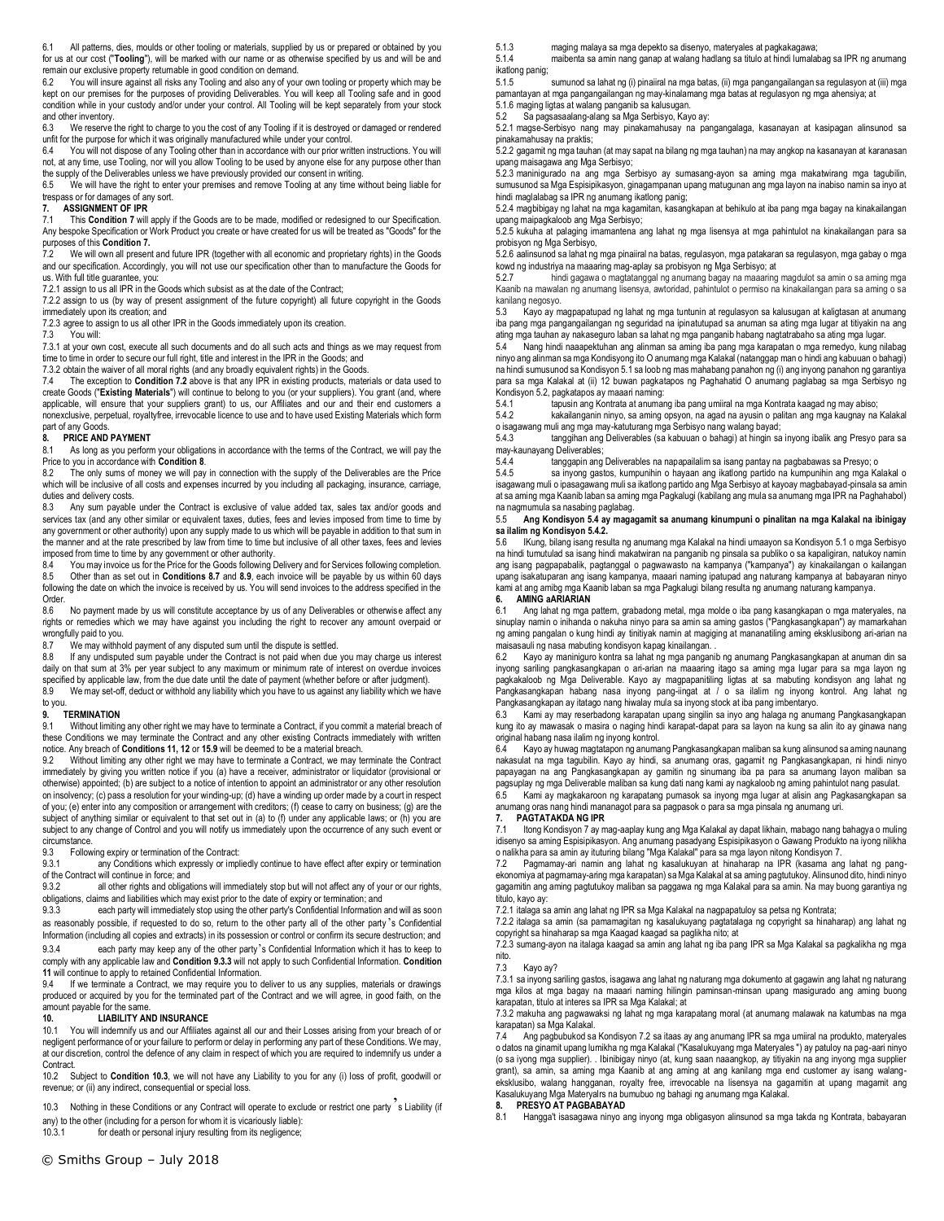6.1 All patterns, dies, moulds or other tooling or materials, supplied by us or prepared or obtained by you for us at our cost ("**Tooling**"), will be marked with our name or as otherwise specified by us and will be and remain our exclusive property returnable in good condition on demand.<br>6.2 You will insure against all risks any Tooling and also any of you

You will insure against all risks any Tooling and also any of your own tooling or property which may be kept on our premises for the purposes of providing Deliverables. You will keep all Tooling safe and in good condition while in your custody and/or under your control. All Tooling will be kept separately from your stock and other inventory.

6.3 We reserve the right to charge to you the cost of any Tooling if it is destroyed or damaged or rendered unfit for the purpose for which it was originally manufactured while under your control.<br>6.4. You will not dispose of any Tooling other than in accordance with our prior writ

6.4 You will not dispose of any Tooling other than in accordance with our prior written instructions. You will not, at any time, use Tooling, nor will you allow Tooling to be used by anyone else for any purpose other than the supply of the Deliverables unless we have previously provided our consent in writing.

6.5 We will have the right to enter your premises and remove Tooling at any time without being liable for trespass or for damages of any sort.

# **7. ASSIGNMENT OF IPR**<br>**7.1** This Condition 7 will

7.1 This **Condition 7** will apply if the Goods are to be made, modified or redesigned to our Specification. Any bespoke Specification or Work Product you create or have created for us will be treated as "Goods" for the purposes of this **Condition 7.**

7.2 We will own all present and future IPR (together with all economic and proprietary rights) in the Goods and our specification. Accordingly, you will not use our specification other than to manufacture the Goods for us. With full title guarantee, you:

7.2.1 assign to us all IPR in the Goods which subsist as at the date of the Contract:

7.2.2 assign to us (by way of present assignment of the future copyright) all future copyright in the Goods immediately upon its creation; and

7.2.3 agree to assign to us all other IPR in the Goods immediately upon its creation.

7.3 You will:

7.3.1 at your own cost, execute all such documents and do all such acts and things as we may request from time to time in order to secure our full right, title and interest in the IPR in the Goods; and

7.3.2 obtain the waiver of all moral rights (and any broadly equivalent rights) in the Goods.

7.4 The exception to **Condition 7.2** above is that any IPR in existing products, materials or data used to create Goods ("**Existing Materials**") will continue to belong to you (or your suppliers). You grant (and, where applicable, will ensure that your suppliers grant) to us, our Affiliates and our and their end customers a nonexclusive, perpetual, royaltyfree, irrevocable licence to use and to have used Existing Materials which form part of any Goods.<br>8. **PRICE AND** 

### **8. PRICE AND PAYMENT**

8.1 As long as you perform your obligations in accordance with the terms of the Contract, we will pay the Price to you in accordance with **Condition 8**.

The only sums of money we will pay in connection with the supply of the Deliverables are the Price which will be inclusive of all costs and expenses incurred by you including all packaging, insurance, carriage, duties and delivery costs.

8.3 Any sum payable under the Contract is exclusive of value added tax, sales tax and/or goods and services tax (and any other similar or equivalent taxes, duties, fees and levies imposed from time to time by any government or other authority) upon any supply made to us which will be payable in addition to that sum in the manner and at the rate prescribed by law from time to time but inclusive of all other taxes, fees and levies imposed from time to time by any government or other authority.<br>8.4 You may invoice us for the Price for the Goods following I

8.4 You may invoice us for the Price for the Goods following Delivery and for Services following completion<br>8.5 Other than as set out in Conditions 8.7 and 8.9, each invoice will be payable by us within 60 days 8.5 Other than as set out in **Conditions 8.7** and **8.9**, each invoice will be payable by us within 60 days following the date on which the invoice is received by us. You will send invoices to the address specified in the Order.<br>8.6

No payment made by us will constitute acceptance by us of any Deliverables or otherwise affect any rights or remedies which we may have against you including the right to recover any amount overpaid or wrongfully paid to you.

If any undisputed sum payable under the Contract is not paid when due you may charge us interest daily on that sum at 3% per year subject to any maximum or minimum rate of interest on overdue invoices specified by applicable law, from the due date until the date of payment (whether before or after judgment).

8.9 We may set-off, deduct or withhold any liability which you have to us against any liability which we have to you.

### **9. TERMINATION**

9.1 Without limiting any other right we may have to terminate a Contract, if you commit a material breach of these Conditions we may terminate the Contract and any other existing Contracts immediately with written notice. Any breach of **Conditions 11, 12** or **15.9** will be deemed to be a material breach.<br>9.2 Without limiting any other right we may have to terminate a Contract, we may te

Without limiting any other right we may have to terminate a Contract, we may terminate the Contract immediately by giving you written notice if you (a) have a receiver, administrator or liquidator (provisional or otherwise) appointed; (b) are subject to a notice of intention to appoint an administrator or any other resolution on insolvency; (c) pass a resolution for your winding-up; (d) have a winding up order made by a court in respect of you; (e) enter into any composition or arrangement with creditors; (f) cease to carry on business; (g) are the subject of anything similar or equivalent to that set out in (a) to (f) under any applicable laws; or (h) you are subject to any change of Control and you will notify us immediately upon the occurrence of any such event or circumstance<br>9.3 Follow

9.3 Following expiry or termination of the Contract:<br>9.3.1 any Conditions which expressly or implement

any Conditions which expressly or impliedly continue to have effect after expiry or termination of the Contract will continue in force; and<br>9.3.2 all other rights and obligat

all other rights and obligations will immediately stop but will not affect any of your or our rights, obligations, claims and liabilities which may exist prior to the date of expiry or termination; and

9.3.3 each party will immediately stop using the other party's Confidential Information and will as soon as reasonably possible, if requested to do so, return to the other party all of the other party 's Confidential Information (including all copies and extracts) in its possession or control or confirm its secure destruction; and

9.3.4 each party may keep any of the other party's Confidential Information which it has to keep to comply with any applicable law and **Condition 9.3.3** will not apply to such Confidential Information. **Condition 11** will continue to apply to retained Confidential Information.

9.4 If we terminate a Contract, we may require you to deliver to us any supplies, materials or drawings produced or acquired by you for the terminated part of the Contract and we will agree, in good faith, on the amount payable for the same.

# **10. LIABILITY AND INSURANCE**<br>10.1 You will indemnify us and our Affiliates

You will indemnify us and our Affiliates against all our and their Losses arising from your breach of or negligent performance of or your failure to perform or delay in performing any part of these Conditions. We may, at our discretion, control the defence of any claim in respect of which you are required to indemnify us under a Contract.

10.2 Subject to **Condition 10.3**, we will not have any Liability to you for any (i) loss of profit, goodwill or revenue; or (ii) any indirect, consequential or special loss.

10.3 Nothing in these Conditions or any Contract will operate to exclude or restrict one party s Liability (if

any) to the other (including for a person for whom it is vicariously liable):<br>10.3.1 for death or personal injury resulting from its negligence: for death or personal injury resulting from its negligence;

5.1.3 maging malaya sa mga depekto sa disenyo, materyales at pagkakagawa;

5.1.4 maibenta sa amin nang ganap at walang hadlang sa titulo at hindi lumalabag sa IPR ng anumang ikatlong panig;

sumunod sa lahat ng (i) pinaiiral na mga batas, (ii) mga pangangailangan sa regulasyon at (iii) mga pamantayan at mga pangangailangan ng may-kinalamang mga batas at regulasyon ng mga ahensiya; at

5.1.6 maging ligtas at walang panganib sa kalusugan.

5.2 Sa pagsasaalang-alang sa Mga Serbisyo, Kayo ay:

5.2.1 magse-Serbisyo nang may pinakamahusay na pangangalaga, kasanayan at kasipagan alinsunod sa pinakamahusay na praktis;

5.2.2 gagamit ng mga tauhan (at may sapat na bilang ng mga tauhan) na may angkop na kasanayan at karanasan upang maisagawa ang Mga Serbisyo;

5.2.3 maninigurado na ang mga Serbisyo ay sumasang-ayon sa aming mga makatwirang mga tagubilin, sumusunod sa Mga Espisipikasyon, ginagampanan upang matugunan ang mga layon na inabiso namin sa inyo at hindi maglalabag sa IPR ng anumang ikatlong panig;

5.2.4 magbibigay ng lahat na mga kagamitan, kasangkapan at behikulo at iba pang mga bagay na kinakailangan upang maipagkaloob ang Mga Serbisyo;

5.2.5 kukuha at palaging imamantena ang lahat ng mga lisensya at mga pahintulot na kinakailangan para sa probisyon ng Mga Serbisyo,

5.2.6 aalinsunod sa lahat ng mga pinaiiral na batas, regulasyon, mga patakaran sa regulasyon, mga gabay o mga kowd ng industriya na maaaring mag-aplay sa probisyon ng Mga Serbisyo; at

5.2.7 hindi gagawa o magtatanggal ng anumang bagay na maaaring magdulot sa amin o sa aming mga Kaanib na mawalan ng anumang lisensya, awtoridad, pahintulot o permiso na kinakailangan para sa aming o sa kanilang negosyo.

5.3 Kayo ay magpapatupad ng lahat ng mga tuntunin at regulasyon sa kalusugan at kaligtasan at anumang iba pang mga pangangailangan ng seguridad na ipinatutupad sa anuman sa ating mga lugar at titiyakin na ang ating mga tauhan ay nakaseguro laban sa lahat ng mga panganib habang nagtatrabaho sa ating mga lugar.

5.4 Nang hindi naaapektuhan ang alinman sa aming iba pang mga karapatan o mga remedyo, kung nilabag ninyo ang alinman sa mga Kondisyong ito O anumang mga Kalakal (natanggap man o hindi ang kabuuan o bahagi) na hindi sumusunod sa Kondisyon 5.1 sa loob ng mas mahabang panahon ng (i) ang inyong panahon ng garantiya para sa mga Kalakal at (ii) 12 buwan pagkatapos ng Paghahatid O anumang paglabag sa mga Serbisyo ng Kondisyon 5.2, pagkatapos ay maaari naming:

5.4.1 tapusin ang Kontrata at anumang iba pang umiiral na mga Kontrata kaagad ng may abiso;

kakailanganin ninyo, sa aming opsyon, na agad na ayusin o palitan ang mga kaugnay na Kalakal o isagawang muli ang mga may-katuturang mga Serbisyo nang walang bayad;

tanggihan ang Deliverables (sa kabuuan o bahagi) at hingin sa inyong ibalik ang Presyo para sa may-kaunayang Deliverables;<br>5.4.4 tanggapin ang

5.4.4 tanggapin ang Deliverables na napapailalim sa isang pantay na pagbabawas sa Presyo; o<br>5.4.5 sa inyong pastos kumpunibin o bayaan ang ikatlong partido na kumpunibin ang mga Ka

sa inyong gastos, kumpunihin o hayaan ang ikatlong partido na kumpunihin ang mga Kalakal o isagawang muli o ipasagawang muli sa ikatlong partido ang Mga Serbisyo at kayoay magbabayad-pinsala sa amin at sa aming mga Kaanib laban sa aming mga Pagkalugi (kabilang ang mula sa anumang mga IPR na Paghahabol) na nagmumula sa nasabing paglabag.

### 5.5 **Ang Kondisyon 5.4 ay magagamit sa anumang kinumpuni o pinalitan na mga Kalakal na ibinigay sa ilalim ng Kondisyon 5.4.2.**

5.6 IKung, bilang isang resulta ng anumang mga Kalakal na hindi umaayon sa Kondisyon 5.1 o mga Serbisyo na hindi tumutulad sa isang hindi makatwiran na panganib ng pinsala sa publiko o sa kapaligiran, natukoy namin ang isang pagpapabalik, pagtanggal o pagwawasto na kampanya ("kampanya") ay kinakailangan o kailangan upang isakatuparan ang isang kampanya, maaari naming ipatupad ang naturang kampanya at babayaran ninyo kami at ang amibg mga Kaanib laban sa mga Pagkalugi bilang resulta ng anumang naturang kampanya. **6. AMING aARIARIAN**

Ang lahat ng mga pattern, grabadong metal, mga molde o iba pang kasangkapan o mga materyales, na sinuplay namin o inihanda o nakuha ninyo para sa amin sa aming gastos ("Pangkasangkapan") ay mamarkahan ng aming pangalan o kung hindi ay tinitiyak namin at magiging at mananatiling aming eksklusibong ari-arian na maisasauli ng nasa mabuting kondisyon kapag kinailangan.<br>62 Kayo ay maniniguro kontra sa lahat ng mga pangar

Kayo ay maniniguro kontra sa lahat ng mga panganib ng anumang Pangkasangkapan at anuman din sa inyong sariling pangkasangkapan o ari-arian na maaaring itago sa aming mga lugar para sa mga layon ng pagkakaloob ng Mga Deliverable. Kayo ay magpapanitiling ligtas at sa mabuting kondisyon ang lahat ng Pangkasangkapan habang nasa inyong pang-iingat at / o sa ilalim ng inyong kontrol. Ang lahat ng Pangkasangkapan ay itatago nang hiwalay mula sa inyong stock at iba pang imbentaryo.

6.3 Kami ay may reserbadong karapatan upang singilin sa inyo ang halaga ng anumang Pangkasangkapan kung ito ay mawasak o masira o naging hindi karapat-dapat para sa layon na kung sa alin ito ay ginawa nang original habang nasa ilalim ng inyong kontrol.

6.4 Kayo ay huwag magtatapon ng anumang Pangkasangkapan maliban sa kung alinsunod sa aming naunang nakasulat na mga tagubilin. Kayo ay hindi, sa anumang oras, gagamit ng Pangkasangkapan, ni hindi ninyo papayagan na ang Pangkasangkapan ay gamitin ng sinumang iba pa para sa anumang layon maliban sa pagsuplay ng mga Deliverable maliban sa kung dati nang kami ay nagkaloob ng aming pahintulot nang pasulat.

6.5 Kami ay magkakaroon ng karapatang pumasok sa inyong mga lugar at alisin ang Pagkasangkapan sa anumang oras nang hindi mananagot para sa pagpasok o para sa mga pinsala ng anumang uri.

### **7. PAGTATAKDA NG IPR**

7.1 Itong Kondisyon 7 ay mag-aaplay kung ang Mga Kalakal ay dapat likhain, mabago nang bahagya o muling idisenyo sa aming Espisipikasyon. Ang anumang pasadyang Espisipikasyon o Gawang Produkto na iyong nilikha o nalikha para sa amin ay ituturing bilang "Mga Kalakal" para sa mga layon nitong Kondisyon 7.

7.2 Pagmamay-ari namin ang lahat ng kasalukuyan at hinaharap na IPR (kasama ang lahat ng pangekonomiya at pagmamay-aring mga karapatan) sa Mga Kalakal at sa aming pagtutukoy. Alinsunod dito, hindi ninyo gagamitin ang aming pagtutukoy maliban sa paggawa ng mga Kalakal para sa amin. Na may buong garantiya ng titulo, kayo ay:

7.2.1 italaga sa amin ang lahat ng IPR sa Mga Kalakal na nagpapatuloy sa petsa ng Kontrata;

7.2.2 italaga sa amin (sa pamamagitan ng kasalukuyang pagtatalaga ng copyright sa hinaharap) ang lahat ng copyright sa hinaharap sa mga Kaagad kaagad sa paglikha nito; at

7.2.3 sumang-ayon na italaga kaagad sa amin ang lahat ng iba pang IPR sa Mga Kalakal sa pagkalikha ng mga nito.

7.3 Kayo ay?

7.3.1 sa inyong sariling gastos, isagawa ang lahat ng naturang mga dokumento at gagawin ang lahat ng naturang mga kilos at mga bagay na maaari naming hilingin paminsan-minsan upang masigurado ang aming buong karapatan, titulo at interes sa IPR sa Mga Kalakal; at

7.3.2 makuha ang pagwawaksi ng lahat ng mga karapatang moral (at anumang malawak na katumbas na mga karapatan) sa Mga Kalakal.<br>74 Ang pagbubukod sa

Ang pagbubukod sa Kondisyon 7.2 sa itaas ay ang anumang IPR sa mga umiiral na produkto, materyales o datos na ginamit upang lumikha ng mga Kalakal ("Kasalukuyang mga Materyales ") ay patuloy na pag-aari ninyo (o sa iyong mga supplier). . Ibinibigay ninyo (at, kung saan naaangkop, ay titiyakin na ang inyong mga supplier grant), sa amin, sa aming mga Kaanib at ang aming at ang kanilang mga end customer ay isang walangeksklusibo, walang hangganan, royalty free, irrevocable na lisensya na gagamitin at upang magamit ang Kasalukuyang Mga Materyalrs na bumubuo ng bahagi ng anumang mga Kalakal.

### **8. PRESYO AT PAGBABAYAD**

8.1 Hangga't isasagawa ninyo ang inyong mga obligasyon alinsunod sa mga takda ng Kontrata, babayaran

8.7 We may withhold payment of any disputed sum until the dispute is settled.<br>8.8 If any undisputed sum payable under the Contract is not paid when due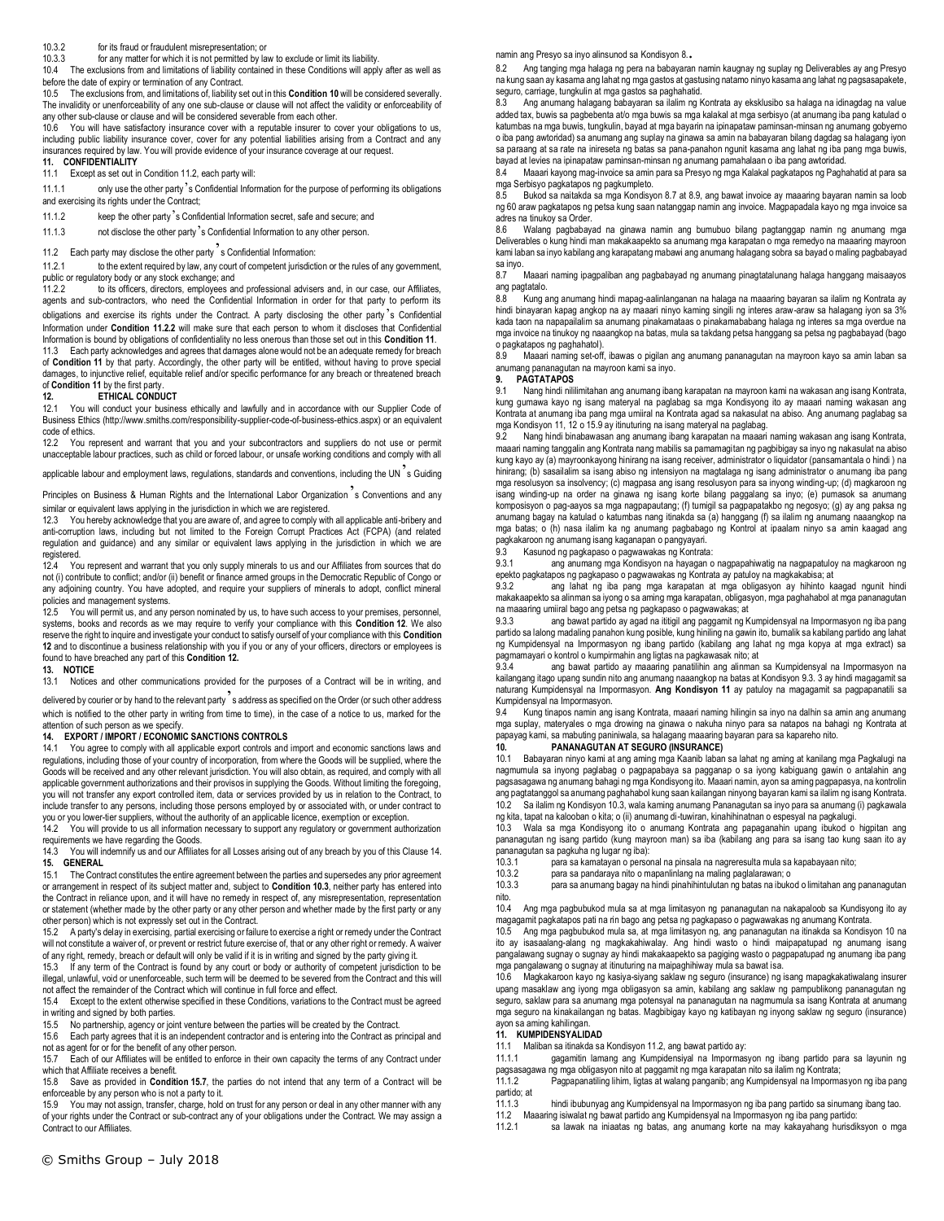### 10.3.2 for its fraud or fraudulent misrepresentation; or

10.3.3 for any matter for which it is not permitted by law to exclude or limit its liability.

10.4 The exclusions from and limitations of liability contained in these Conditions will apply after as well as before the date of expiry or termination of any Contract.

10.5 The exclusions from, and limitations of, liability set out in this **Condition 10** will be considered severally. The invalidity or unenforceability of any one sub-clause or clause will not affect the validity or enforceability of any other sub-clause or clause and will be considered severable from each other.

10.6 You will have satisfactory insurance cover with a reputable insurer to cover your obligations to us, including public liability insurance cover, cover for any potential liabilities arising from a Contract and any insurances required by law. You will provide evidence of your insurance coverage at our request.

## **11. CONFIDENTIALITY**

11.1 Except as set out in Condition 11.2, each party will:

11.1.1 only use the other party's Confidential Information for the purpose of performing its obligations and exercising its rights under the Contract;

11.1.2 keep the other party's Confidential Information secret, safe and secure; and

11.1.3 not disclose the other party's Confidential Information to any other person.

11.2 Each party may disclose the other party<sup>3</sup>s Confidential Information:<br>11.2.1 to the extent required by law, any court of competent jurisdictic

to the extent required by law, any court of competent jurisdiction or the rules of any government, public or regulatory body or any stock exchange; and<br>11.2.2 to its officers, directors, employees an

to its officers, directors, employees and professional advisers and, in our case, our Affiliates, agents and sub-contractors, who need the Confidential Information in order for that party to perform its obligations and exercise its rights under the Contract. A party disclosing the other party 's Confidential Information under **Condition 11.2.2** will make sure that each person to whom it discloses that Confidential Information is bound by obligations of confidentiality no less onerous than those set out in this **Condition 11**.

11.3 Each party acknowledges and agrees that damages alone would not be an adequate remedy for breach of **Condition 11** by that party. Accordingly, the other party will be entitled, without having to prove special damages, to injunctive relief, equitable relief and/or specific performance for any breach or threatened breach of **Condition 11** by the first party.

# **12. ETHICAL CONDUCT**<br>12.1 You will conduct your busine

12.1 You will conduct your business ethically and lawfully and in accordance with our Supplier Code of Business Ethics (http://www.smiths.com/responsibility-supplier-code-of-business-ethics.aspx) or an equivalent code of ethics.

12.2 You represent and warrant that you and your subcontractors and suppliers do not use or permit unacceptable labour practices, such as child or forced labour, or unsafe working conditions and comply with all

applicable labour and employment laws, regulations, standards and conventions, including the UN  $s$  Guiding

Principles on Business & Human Rights and the International Labor Organization s Conventions and any similar or equivalent laws applying in the jurisdiction in which we are registered.

12.3 You hereby acknowledge that you are aware of, and agree to comply with all applicable anti-bribery and anti-corruption laws, including but not limited to the Foreign Corrupt Practices Act (FCPA) (and related regulation and guidance) and any similar or equivalent laws applying in the jurisdiction in which we are registered.

12.4 You represent and warrant that you only supply minerals to us and our Affiliates from sources that do not (i) contribute to conflict; and/or (ii) benefit or finance armed groups in the Democratic Republic of Congo or any adjoining country. You have adopted, and require your suppliers of minerals to adopt, conflict mineral policies and management systems.

12.5 You will permit us, and any person nominated by us, to have such access to your premises, personnel. systems, books and records as we may require to verify your compliance with this **Condition 12**. We also reserve the right to inquire and investigate your conduct to satisfy ourself of your compliance with this **Condition 12** and to discontinue a business relationship with you if you or any of your officers, directors or employees is found to have breached any part of this **Condition 12.** 

### **13. NOTICE**

13.1 Notices and other communications provided for the purposes of a Contract will be in writing, and

delivered by courier or by hand to the relevant party's address as specified on the Order (or such other address which is notified to the other party in writing from time to time), in the case of a notice to us, marked for the attention of such person as we specify.

# **14. EXPORT / IMPORT / ECONOMIC SANCTIONS CONTROLS**

You agree to comply with all applicable export controls and import and economic sanctions laws and regulations, including those of your country of incorporation, from where the Goods will be supplied, where the Goods will be received and any other relevant jurisdiction. You will also obtain, as required, and comply with all applicable government authorizations and their provisos in supplying the Goods. Without limiting the foregoing, you will not transfer any export controlled item, data or services provided by us in relation to the Contract, to include transfer to any persons, including those persons employed by or associated with, or under contract to you or you lower-tier suppliers, without the authority of an applicable licence, exemption or exception.

You will provide to us all information necessary to support any regulatory or government authorization requirements we have regarding the Goods.

14.3 You will indemnify us and our Affiliates for all Losses arising out of any breach by you of this Clause 14. **15. GENERAL**

15.1 The Contract constitutes the entire agreement between the parties and supersedes any prior agreement or arrangement in respect of its subject matter and, subject to **Condition 10.3**, neither party has entered into the Contract in reliance upon, and it will have no remedy in respect of, any misrepresentation, representation or statement (whether made by the other party or any other person and whether made by the first party or any other person) which is not expressly set out in the Contract.<br>15.2 A party's delay in exercising, partial exercising or fail

A party's delay in exercising, partial exercising or failure to exercise a right or remedy under the Contract will not constitute a waiver of, or prevent or restrict future exercise of, that or any other right or remedy. A waiver of any right, remedy, breach or default will only be valid if it is in writing and signed by the party giving it.

15.3 If any term of the Contract is found by any court or body or authority of competent jurisdiction to be illegal, unlawful, void or unenforceable, such term will be deemed to be severed from the Contract and this will not affect the remainder of the Contract which will continue in full force and effect.

15.4 Except to the extent otherwise specified in these Conditions, variations to the Contract must be agreed in writing and signed by both parties.

15.5 No partnership, agency or joint venture between the parties will be created by the Contract.

15.6 Each party agrees that it is an independent contractor and is entering into the Contract as principal and

not as agent for or for the benefit of any other person.<br>15.7 Fach of our Affiliates will be entitled to enforce Each of our Affiliates will be entitled to enforce in their own capacity the terms of any Contract under

which that Affiliate receives a benefit. 15.8 Save as provided in **Condition 15.7**, the parties do not intend that any term of a Contract will be enforceable by any person who is not a party to it.

15.9 You may not assign, transfer, charge, hold on trust for any person or deal in any other manner with any of your rights under the Contract or sub-contract any of your obligations under the Contract. We may assign a Contract to our Affiliates.

namin ang Presyo sa inyo alinsunod sa Kondisyon 8..

8.2 Ang tanging mga halaga ng pera na babayaran namin kaugnay ng suplay ng Deliverables ay ang Presyo na kung saan ay kasama ang lahat ng mga gastos at gastusing natamo ninyo kasama ang lahat ng pagsasapakete, seguro, carriage, tungkulin at mga gastos sa paghahatid.

8.3 Ang anumang halagang babayaran sa ilalim ng Kontrata ay eksklusibo sa halaga na idinagdag na value added tax, buwis sa pagbebenta at/o mga buwis sa mga kalakal at mga serbisyo (at anumang iba pang katulad o katumbas na mga buwis, tungkulin, bayad at mga bayarin na ipinapataw paminsan-minsan ng anumang gobyerno o iba pang awtoridad) sa anumang ang suplay na ginawa sa amin na babayaran bilang dagdag sa halagang iyon sa paraang at sa rate na inireseta ng batas sa pana-panahon ngunit kasama ang lahat ng iba pang mga buwis, bayad at levies na ipinapataw paminsan-minsan ng anumang pamahalaan o iba pang awtoridad.

8.4 Maaari kayong mag-invoice sa amin para sa Presyo ng mga Kalakal pagkatapos ng Paghahatid at para sa mga Serbisyo pagkatapos ng pagkumpleto.

Bukod sa naitakda sa mga Kondisyon 8.7 at 8.9, ang bawat invoice ay maaaring bayaran namin sa loob ng 60 araw pagkatapos ng petsa kung saan natanggap namin ang invoice. Magpapadala kayo ng mga invoice sa adres na tinukoy sa Order.

8.6 Walang pagbabayad na ginawa namin ang bumubuo bilang pagtanggap namin ng anumang mga Deliverables o kung hindi man makakaapekto sa anumang mga karapatan o mga remedyo na maaaring mayroon kami laban sa inyo kabilang ang karapatang mabawi ang anumang halagang sobra sa bayad o maling pagbabayad sa inyo.

8.7 Maaari naming ipagpaliban ang pagbabayad ng anumang pinagtatalunang halaga hanggang maisaayos ang pagtatalo.

8.8 Kung ang anumang hindi mapag-aalinlanganan na halaga na maaaring bayaran sa ilalim ng Kontrata ay hindi binayaran kapag angkop na ay maaari ninyo kaming singili ng interes araw-araw sa halagang iyon sa 3% kada taon na napapailalim sa anumang pinakamataas o pinakamababang halaga ng interes sa mga overdue na mga invoice na tinukoy ng naaangkop na batas, mula sa takdang petsa hanggang sa petsa ng pagbabayad (bago o pagkatapos ng paghahatol).

8.9 Maaari naming set-off, ibawas o pigilan ang anumang pananagutan na mayroon kayo sa amin laban sa anumang pananagutan na mayroon kami sa inyo.

**9. PAGTATAPOS**

9.1 Nang hindi nililimitahan ang anumang ibang karapatan na mayroon kami na wakasan ang isang Kontrata, kung gumawa kayo ng isang materyal na paglabag sa mga Kondisyong ito ay maaari naming wakasan ang Kontrata at anumang iba pang mga umiiral na Kontrata agad sa nakasulat na abiso. Ang anumang paglabag sa mga Kondisyon 11, 12 o 15.9 ay itinuturing na isang materyal na paglabag.

9.2 Nang hindi binabawasan ang anumang ibang karapatan na maaari naming wakasan ang isang Kontrata, maaari naming tanggalin ang Kontrata nang mabilis sa pamamagitan ng pagbibigay sa inyo ng nakasulat na abiso kung kayo ay (a) mayroonkayong hinirang na isang receiver, administrator o liquidator (pansamantala o hindi ) na hinirang; (b) sasailalim sa isang abiso ng intensiyon na magtalaga ng isang administrator o anumang iba pang mga resolusyon sa insolvency; (c) magpasa ang isang resolusyon para sa inyong winding-up; (d) magkaroon ng isang winding-up na order na ginawa ng isang korte bilang paggalang sa inyo; (e) pumasok sa anumang komposisyon o pag-aayos sa mga nagpapautang; (f) tumigil sa pagpapatakbo ng negosyo; (g) ay ang paksa ng anumang bagay na katulad o katumbas nang itinakda sa (a) hanggang (f) sa ilalim ng anumang naaangkop na mga batas; o (h) nasa ilalim ka ng anumang pagbabago ng Kontrol at ipaalam ninyo sa amin kaagad ang pagkakaroon ng anumang isang kaganapan o pangyayari.

9.3 Kasunod ng pagkapaso o pagwawakas ng Kontrata:

9.3.1 ang anumang mga Kondisyon na hayagan o nagpapahiwatig na nagpapatuloy na magkaroon ng epekto pagkatapos ng pagkapaso o pagwawakas ng Kontrata ay patuloy na magkakabisa; at

ang lahat ng iba pang mga karapatan at mga obligasyon ay hihinto kaagad ngunit hindi makakaapekto sa alinman sa iyong o sa aming mga karapatan, obligasyon, mga paghahabol at mga pananagutan na maaaring umiiral bago ang petsa ng pagkapaso o pagwawakas; at

9.3.3 ang bawat partido ay agad na ititigil ang paggamit ng Kumpidensyal na Impormasyon ng iba pang partido sa lalong madaling panahon kung posible, kung hiniling na gawin ito, bumalik sa kabilang partido ang lahat ng Kumpidensyal na Impormasyon ng ibang partido (kabilang ang lahat ng mga kopya at mga extract) sa pagmamayari o kontrol o kumpirmahin ang ligtas na pagkawasak nito; at

ang bawat partido ay maaaring panatilihin ang alinman sa Kumpidensyal na Impormasyon na kailangang itago upang sundin nito ang anumang naaangkop na batas at Kondisyon 9.3. 3 ay hindi magagamit sa naturang Kumpidensyal na Impormasyon. **Ang Kondisyon 11** ay patuloy na magagamit sa pagpapanatili sa Kumpidensyal na Impormasyon.

9.4 Kung tinapos namin ang isang Kontrata, maaari naming hilingin sa inyo na dalhin sa amin ang anumang mga suplay, materyales o mga drowing na ginawa o nakuha ninyo para sa natapos na bahagi ng Kontrata at papayag kami, sa mabuting paniniwala, sa halagang maaaring bayaran para sa kapareho nito.

# **10. PANANAGUTAN AT SEGURO (INSURANCE)**

10.1 Babayaran ninyo kami at ang aming mga Kaanib laban sa lahat ng aming at kanilang mga Pagkalugi na nagmumula sa inyong paglabag o pagpapabaya sa pagganap o sa iyong kabiguang gawin o antalahin ang pagsasagawa ng anumang bahagi ng mga Kondisyong ito. Maaari namin, ayon sa aming pagpapasya, na kontrolin ang pagtatanggol sa anumang paghahabol kung saan kailangan ninyong bayaran kami sa ilalim ng isang Kontrata. 10.2 Sa ilalim ng Kondisyon 10.3, wala kaming anumang Pananagutan sa inyo para sa anumang (i) pagkawala ng kita, tapat na kalooban o kita; o (ii) anumang di-tuwiran, kinahihinatnan o espesyal na pagkalugi.

10.3 Wala sa mga Kondisyong ito o anumang Kontrata ang papaganahin upang ibukod o higpitan ang pananagutan ng isang partido (kung mayroon man) sa iba (kabilang ang para sa isang tao kung saan ito ay pananagutan sa pagkuha ng lugar ng iba):<br>10.3.1 para sa kamatayan o perso

10.3.1 para sa kamatayan o personal na pinsala na nagreresulta mula sa kapabayaan nito;

10.3.2 para sa pandaraya nito o mapanlinlang na maling paglalarawan; o

10.3.3 para sa anumang bagay na hindi pinahihintulutan ng batas na ibukod o limitahan ang pananagutan nito.

10.4 Ang mga pagbubukod mula sa at mga limitasyon ng pananagutan na nakapaloob sa Kundisyong ito ay magagamit pagkatapos pati na rin bago ang petsa ng pagkapaso o pagwawakas ng anumang Kontrata.<br>10.5 Ang mga pagbubukod mula sa, at mga limitasyon ng, ang pananagutan na itinakda sa Kondisy

Ang mga pagbubukod mula sa, at mga limitasyon ng, ang pananagutan na itinakda sa Kondisyon 10 na ito ay isasaalang-alang ng magkakahiwalay. Ang hindi wasto o hindi maipapatupad ng anumang isang pangalawang sugnay o sugnay ay hindi makakaapekto sa pagiging wasto o pagpapatupad ng anumang iba pang maga pangalawang o sugnay at itinuturing na maipaghihiway mula sa bawat isa.<br>10.6 Maqkakaroon kayo ng kasiya-siyang saklaw ng seguro (insurance) ng is

10.6 Magkakaroon kayo ng kasiya-siyang saklaw ng seguro (insurance) ng isang mapagkakatiwalang insurer upang masaklaw ang iyong mga obligasyon sa amin, kabilang ang saklaw ng pampublikong pananagutan ng seguro, saklaw para sa anumang mga potensyal na pananagutan na nagmumula sa isang Kontrata at anumang mga seguro na kinakailangan ng batas. Magbibigay kayo ng katibayan ng inyong saklaw ng seguro (insurance) ayon sa aming kahilingan.

# **11. KUMPIDENSYALIDAD**<br>11.1 Maliban sa itinakda sa

11.1 Maliban sa itinakda sa Kondisyon 11.2, ang bawat partido ay:

gagamitin lamang ang Kumpidensiyal na Impormasyon ng ibang partido para sa layunin ng pagsasagawa ng mga obligasyon nito at paggamit ng mga karapatan nito sa ilalim ng Kontrata;

11.1.2 Pagpapanatiling lihim, ligtas at walang panganib; ang Kumpidensyal na Impormasyon ng iba pang partido; at

11.1.3 hindi ibubunyag ang Kumpidensyal na Impormasyon ng iba pang partido sa sinumang ibang tao.<br>11.2 Maaaring isiwalat ng bawat partido ang Kumpidensyal na Impormasyon ng iba pang partido:

11.2 Maaaring isiwalat ng bawat partido ang Kumpidensyal na Impormasyon ng iba pang partido:

sa lawak na iniaatas ng batas, ang anumang korte na may kakayahang hurisdiksyon o mga